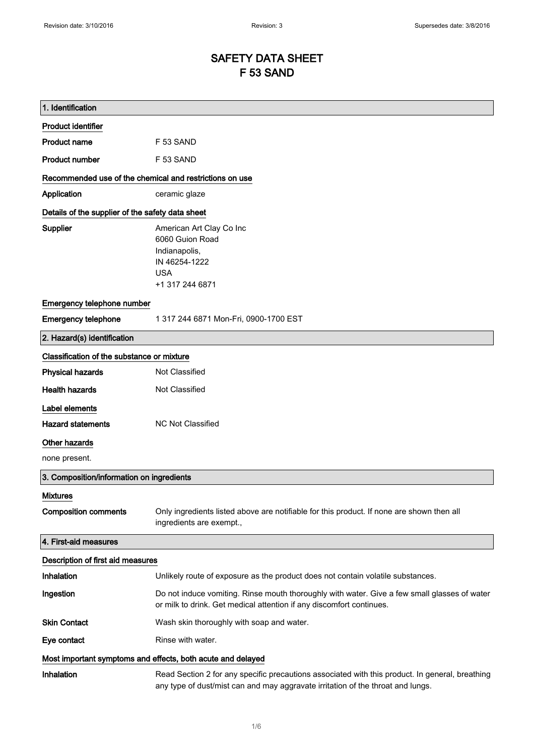# SAFETY DATA SHEET F 53 SAND

| 1. Identification                                           |                                                                                                                                                                                    |
|-------------------------------------------------------------|------------------------------------------------------------------------------------------------------------------------------------------------------------------------------------|
| <b>Product identifier</b>                                   |                                                                                                                                                                                    |
| <b>Product name</b>                                         | F 53 SAND                                                                                                                                                                          |
| <b>Product number</b>                                       | F 53 SAND                                                                                                                                                                          |
| Recommended use of the chemical and restrictions on use     |                                                                                                                                                                                    |
| Application                                                 | ceramic glaze                                                                                                                                                                      |
| Details of the supplier of the safety data sheet            |                                                                                                                                                                                    |
| Supplier                                                    | American Art Clay Co Inc<br>6060 Guion Road<br>Indianapolis,<br>IN 46254-1222<br><b>USA</b><br>+1 317 244 6871                                                                     |
| Emergency telephone number                                  |                                                                                                                                                                                    |
| <b>Emergency telephone</b>                                  | 1 317 244 6871 Mon-Fri, 0900-1700 EST                                                                                                                                              |
| 2. Hazard(s) identification                                 |                                                                                                                                                                                    |
| Classification of the substance or mixture                  |                                                                                                                                                                                    |
| <b>Physical hazards</b>                                     | Not Classified                                                                                                                                                                     |
| <b>Health hazards</b>                                       | Not Classified                                                                                                                                                                     |
| <b>Label elements</b><br><b>Hazard statements</b>           | <b>NC Not Classified</b>                                                                                                                                                           |
| Other hazards                                               |                                                                                                                                                                                    |
| none present.                                               |                                                                                                                                                                                    |
| 3. Composition/information on ingredients                   |                                                                                                                                                                                    |
| <b>Mixtures</b><br><b>Composition comments</b>              | Only ingredients listed above are notifiable for this product. If none are shown then all<br>ingredients are exempt.,                                                              |
| 4. First-aid measures                                       |                                                                                                                                                                                    |
| Description of first aid measures                           |                                                                                                                                                                                    |
| Inhalation                                                  | Unlikely route of exposure as the product does not contain volatile substances.                                                                                                    |
| Ingestion                                                   | Do not induce vomiting. Rinse mouth thoroughly with water. Give a few small glasses of water<br>or milk to drink. Get medical attention if any discomfort continues.               |
| <b>Skin Contact</b>                                         | Wash skin thoroughly with soap and water.                                                                                                                                          |
| Eye contact                                                 | Rinse with water.                                                                                                                                                                  |
| Most important symptoms and effects, both acute and delayed |                                                                                                                                                                                    |
| Inhalation                                                  | Read Section 2 for any specific precautions associated with this product. In general, breathing<br>any type of dust/mist can and may aggravate irritation of the throat and lungs. |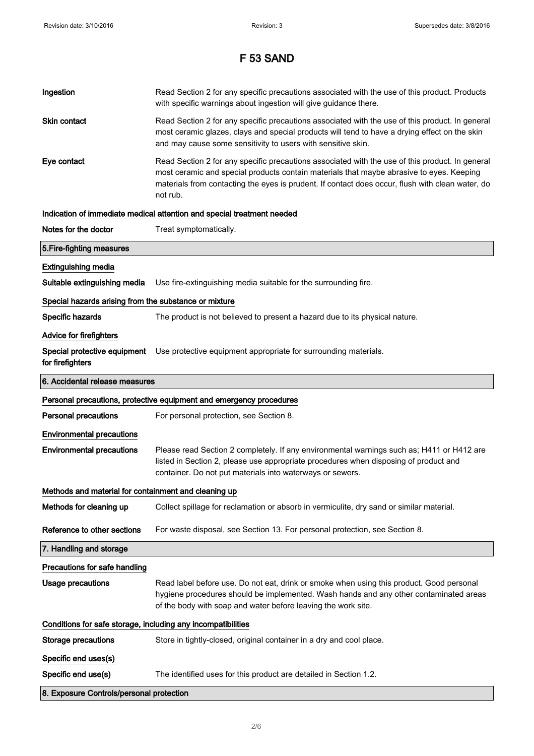| Ingestion                                                    | Read Section 2 for any specific precautions associated with the use of this product. Products<br>with specific warnings about ingestion will give guidance there.                                                                                                                                           |
|--------------------------------------------------------------|-------------------------------------------------------------------------------------------------------------------------------------------------------------------------------------------------------------------------------------------------------------------------------------------------------------|
| Skin contact                                                 | Read Section 2 for any specific precautions associated with the use of this product. In general<br>most ceramic glazes, clays and special products will tend to have a drying effect on the skin<br>and may cause some sensitivity to users with sensitive skin.                                            |
| Eye contact                                                  | Read Section 2 for any specific precautions associated with the use of this product. In general<br>most ceramic and special products contain materials that maybe abrasive to eyes. Keeping<br>materials from contacting the eyes is prudent. If contact does occur, flush with clean water, do<br>not rub. |
|                                                              | Indication of immediate medical attention and special treatment needed                                                                                                                                                                                                                                      |
| Notes for the doctor                                         | Treat symptomatically.                                                                                                                                                                                                                                                                                      |
| 5. Fire-fighting measures                                    |                                                                                                                                                                                                                                                                                                             |
| <b>Extinguishing media</b>                                   |                                                                                                                                                                                                                                                                                                             |
| Suitable extinguishing media                                 | Use fire-extinguishing media suitable for the surrounding fire.                                                                                                                                                                                                                                             |
| Special hazards arising from the substance or mixture        |                                                                                                                                                                                                                                                                                                             |
| Specific hazards                                             | The product is not believed to present a hazard due to its physical nature.                                                                                                                                                                                                                                 |
| <b>Advice for firefighters</b>                               |                                                                                                                                                                                                                                                                                                             |
| for firefighters                                             | Special protective equipment Use protective equipment appropriate for surrounding materials.                                                                                                                                                                                                                |
| 6. Accidental release measures                               |                                                                                                                                                                                                                                                                                                             |
|                                                              |                                                                                                                                                                                                                                                                                                             |
|                                                              | Personal precautions, protective equipment and emergency procedures                                                                                                                                                                                                                                         |
| <b>Personal precautions</b>                                  | For personal protection, see Section 8.                                                                                                                                                                                                                                                                     |
| <b>Environmental precautions</b>                             |                                                                                                                                                                                                                                                                                                             |
| <b>Environmental precautions</b>                             | Please read Section 2 completely. If any environmental warnings such as; H411 or H412 are<br>listed in Section 2, please use appropriate procedures when disposing of product and<br>container. Do not put materials into waterways or sewers.                                                              |
| Methods and material for containment and cleaning up         |                                                                                                                                                                                                                                                                                                             |
| Methods for cleaning up                                      | Collect spillage for reclamation or absorb in vermiculite, dry sand or similar material.                                                                                                                                                                                                                    |
| Reference to other sections                                  | For waste disposal, see Section 13. For personal protection, see Section 8.                                                                                                                                                                                                                                 |
| 7. Handling and storage                                      |                                                                                                                                                                                                                                                                                                             |
| Precautions for safe handling                                |                                                                                                                                                                                                                                                                                                             |
| <b>Usage precautions</b>                                     | Read label before use. Do not eat, drink or smoke when using this product. Good personal<br>hygiene procedures should be implemented. Wash hands and any other contaminated areas<br>of the body with soap and water before leaving the work site.                                                          |
| Conditions for safe storage, including any incompatibilities |                                                                                                                                                                                                                                                                                                             |
| <b>Storage precautions</b>                                   | Store in tightly-closed, original container in a dry and cool place.                                                                                                                                                                                                                                        |
| Specific end uses(s)                                         |                                                                                                                                                                                                                                                                                                             |
| Specific end use(s)                                          | The identified uses for this product are detailed in Section 1.2.                                                                                                                                                                                                                                           |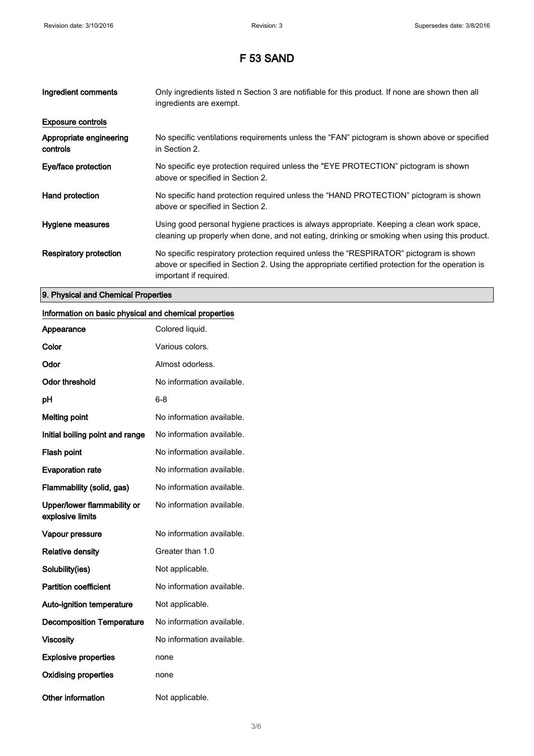| Ingredient comments                 | Only ingredients listed n Section 3 are notifiable for this product. If none are shown then all<br>ingredients are exempt.                                                                                           |
|-------------------------------------|----------------------------------------------------------------------------------------------------------------------------------------------------------------------------------------------------------------------|
| <b>Exposure controls</b>            |                                                                                                                                                                                                                      |
| Appropriate engineering<br>controls | No specific ventilations requirements unless the "FAN" pictogram is shown above or specified<br>in Section 2.                                                                                                        |
| Eye/face protection                 | No specific eye protection required unless the "EYE PROTECTION" pictogram is shown<br>above or specified in Section 2.                                                                                               |
| Hand protection                     | No specific hand protection required unless the "HAND PROTECTION" pictogram is shown<br>above or specified in Section 2.                                                                                             |
| Hygiene measures                    | Using good personal hygiene practices is always appropriate. Keeping a clean work space,<br>cleaning up properly when done, and not eating, drinking or smoking when using this product.                             |
| Respiratory protection              | No specific respiratory protection required unless the "RESPIRATOR" pictogram is shown<br>above or specified in Section 2. Using the appropriate certified protection for the operation is<br>important if required. |

#### 9. Physical and Chemical Properties

#### Information on basic physical and chemical properties

| Appearance                                      | Colored liquid.           |
|-------------------------------------------------|---------------------------|
| Color                                           | Various colors.           |
| Odor                                            | Almost odorless.          |
| <b>Odor threshold</b>                           | No information available. |
| рH                                              | 6-8                       |
| <b>Melting point</b>                            | No information available. |
| Initial boiling point and range                 | No information available. |
| Flash point                                     | No information available. |
| <b>Evaporation rate</b>                         | No information available. |
| Flammability (solid, gas)                       | No information available. |
| Upper/lower flammability or<br>explosive limits | No information available. |
| Vapour pressure                                 | No information available. |
| <b>Relative density</b>                         | Greater than 1.0          |
| Solubility(ies)                                 | Not applicable.           |
| <b>Partition coefficient</b>                    | No information available. |
| <b>Auto-ignition temperature</b>                | Not applicable.           |
| <b>Decomposition Temperature</b>                | No information available. |
| <b>Viscosity</b>                                | No information available. |
| <b>Explosive properties</b>                     | none                      |
| <b>Oxidising properties</b>                     | none                      |
| <b>Other information</b>                        | Not applicable.           |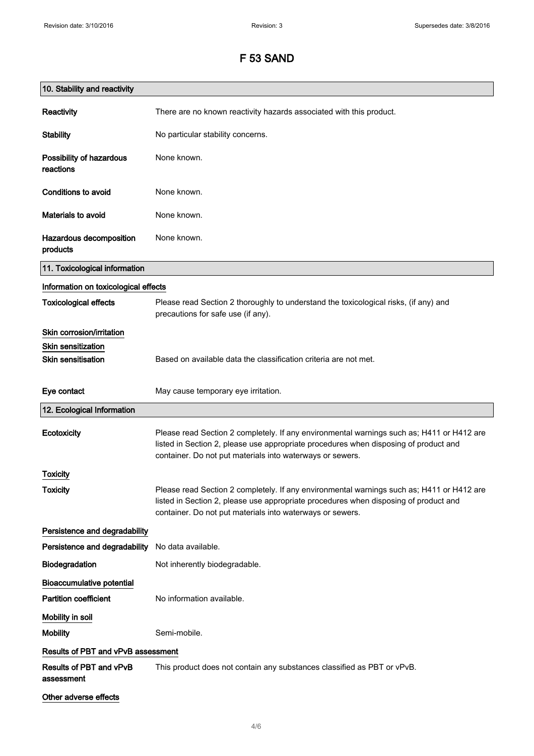| 10. Stability and reactivity                           |                                                                                                                                                                                                                                                |
|--------------------------------------------------------|------------------------------------------------------------------------------------------------------------------------------------------------------------------------------------------------------------------------------------------------|
| Reactivity                                             | There are no known reactivity hazards associated with this product.                                                                                                                                                                            |
| <b>Stability</b>                                       | No particular stability concerns.                                                                                                                                                                                                              |
| Possibility of hazardous<br>reactions                  | None known.                                                                                                                                                                                                                                    |
| <b>Conditions to avoid</b>                             | None known.                                                                                                                                                                                                                                    |
| <b>Materials to avoid</b>                              | None known.                                                                                                                                                                                                                                    |
| Hazardous decomposition<br>products                    | None known.                                                                                                                                                                                                                                    |
| 11. Toxicological information                          |                                                                                                                                                                                                                                                |
| Information on toxicological effects                   |                                                                                                                                                                                                                                                |
| <b>Toxicological effects</b>                           | Please read Section 2 thoroughly to understand the toxicological risks, (if any) and<br>precautions for safe use (if any).                                                                                                                     |
| Skin corrosion/irritation                              |                                                                                                                                                                                                                                                |
| <b>Skin sensitization</b><br><b>Skin sensitisation</b> | Based on available data the classification criteria are not met.                                                                                                                                                                               |
| Eye contact                                            | May cause temporary eye irritation.                                                                                                                                                                                                            |
| 12. Ecological Information                             |                                                                                                                                                                                                                                                |
| Ecotoxicity                                            | Please read Section 2 completely. If any environmental warnings such as; H411 or H412 are<br>listed in Section 2, please use appropriate procedures when disposing of product and<br>container. Do not put materials into waterways or sewers. |
| Toxicity                                               |                                                                                                                                                                                                                                                |
| <b>Toxicity</b>                                        | Please read Section 2 completely. If any environmental warnings such as; H411 or H412 are<br>listed in Section 2, please use appropriate procedures when disposing of product and<br>container. Do not put materials into waterways or sewers. |
| Persistence and degradability                          |                                                                                                                                                                                                                                                |
| Persistence and degradability                          | No data available.                                                                                                                                                                                                                             |
| Biodegradation                                         | Not inherently biodegradable.                                                                                                                                                                                                                  |
| <b>Bioaccumulative potential</b>                       |                                                                                                                                                                                                                                                |
| <b>Partition coefficient</b>                           | No information available.                                                                                                                                                                                                                      |
| Mobility in soil                                       |                                                                                                                                                                                                                                                |
| <b>Mobility</b>                                        | Semi-mobile.                                                                                                                                                                                                                                   |
| Results of PBT and vPvB assessment                     |                                                                                                                                                                                                                                                |
| Results of PBT and vPvB<br>assessment                  | This product does not contain any substances classified as PBT or vPvB.                                                                                                                                                                        |
| Other adverse effects                                  |                                                                                                                                                                                                                                                |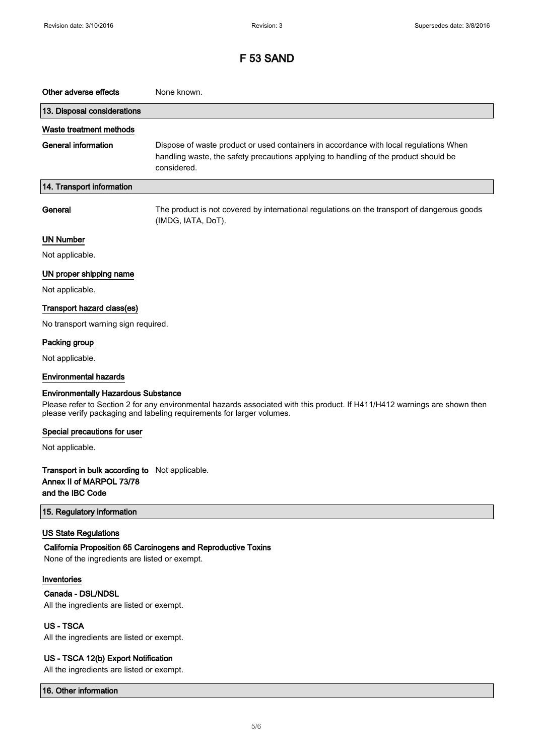| Other adverse effects                          | None known.                                                                                                                                                                                         |
|------------------------------------------------|-----------------------------------------------------------------------------------------------------------------------------------------------------------------------------------------------------|
| 13. Disposal considerations                    |                                                                                                                                                                                                     |
| Waste treatment methods                        |                                                                                                                                                                                                     |
| <b>General information</b>                     | Dispose of waste product or used containers in accordance with local regulations When<br>handling waste, the safety precautions applying to handling of the product should be<br>considered.        |
| 14. Transport information                      |                                                                                                                                                                                                     |
| General                                        | The product is not covered by international regulations on the transport of dangerous goods<br>(IMDG, IATA, DoT).                                                                                   |
| <b>UN Number</b>                               |                                                                                                                                                                                                     |
| Not applicable.                                |                                                                                                                                                                                                     |
| UN proper shipping name                        |                                                                                                                                                                                                     |
| Not applicable.                                |                                                                                                                                                                                                     |
| Transport hazard class(es)                     |                                                                                                                                                                                                     |
| No transport warning sign required.            |                                                                                                                                                                                                     |
| Packing group                                  |                                                                                                                                                                                                     |
| Not applicable.                                |                                                                                                                                                                                                     |
| <b>Environmental hazards</b>                   |                                                                                                                                                                                                     |
| <b>Environmentally Hazardous Substance</b>     |                                                                                                                                                                                                     |
|                                                | Please refer to Section 2 for any environmental hazards associated with this product. If H411/H412 warnings are shown then<br>please verify packaging and labeling requirements for larger volumes. |
| Special precautions for user                   |                                                                                                                                                                                                     |
| Not applicable.                                |                                                                                                                                                                                                     |
| Transport in bulk according to Not applicable. |                                                                                                                                                                                                     |
| Annex II of MARPOL 73/78                       |                                                                                                                                                                                                     |
| and the IBC Code                               |                                                                                                                                                                                                     |
| 15. Regulatory information                     |                                                                                                                                                                                                     |
| <b>US State Regulations</b>                    |                                                                                                                                                                                                     |
| None of the ingredients are listed or exempt.  | California Proposition 65 Carcinogens and Reproductive Toxins                                                                                                                                       |
| Inventories                                    |                                                                                                                                                                                                     |
| Canada - DSL/NDSL                              |                                                                                                                                                                                                     |
| All the ingredients are listed or exempt.      |                                                                                                                                                                                                     |
| <b>US-TSCA</b>                                 |                                                                                                                                                                                                     |
| All the ingredients are listed or exempt.      |                                                                                                                                                                                                     |
| US - TSCA 12(b) Export Notification            |                                                                                                                                                                                                     |

All the ingredients are listed or exempt.

16. Other information